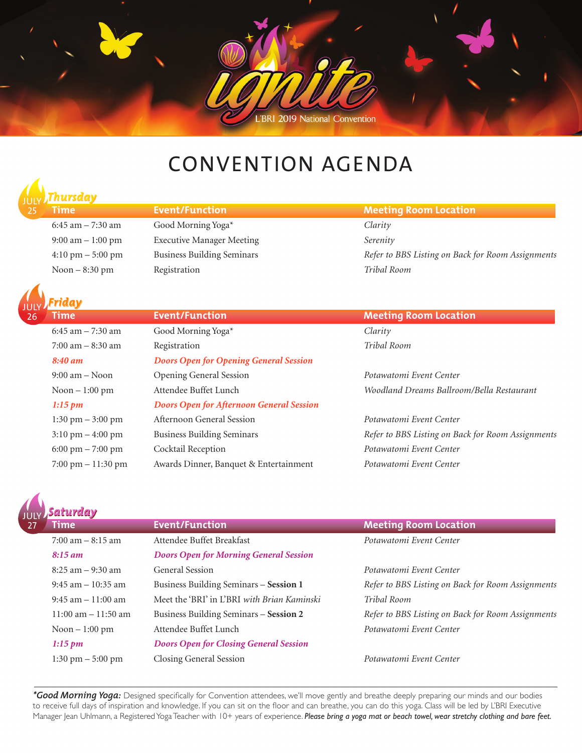

# CONVENTION AGENDA

### 25 *Thursday*

6:45 am – 7:30 am Good Morning Yoga\* *Clarity* 9:00 am – 1:00 pm Executive Manager Meeting *Serenity* Noon – 8:30 pm Registration *Tribal Room*



26

#### **Time Event/Function Extend Function Meeting Room Location** 6:45 am – 7:30 am Good Morning Yoga\* *Clarity* 7:00 am – 8:30 am Registration *Tribal Room 8:40 am Doors Open for Opening General Session* 9:00 am – Noon Opening General Session *Potawatomi Event Center* Noon – 1:00 pm Attendee Buffet Lunch *Woodland Dreams Ballroom/Bella Restaurant 1:15 pm Doors Open for Afternoon General Session* 1:30 pm – 3:00 pm Afternoon General Session *Potawatomi Event Center* 3:10 pm – 4:00 pm Business Building Seminars *Refer to BBS Listing on Back for Room Assignments* 6:00 pm – 7:00 pm Cocktail Reception *Potawatomi Event Center* 7:00 pm – 11:30 pm Awards Dinner, Banquet & Entertainment *Potawatomi Event Center*

#### **Time Event/Function Example 2016 Meeting Room Location**

4:10 pm – 5:00 pm Business Building Seminars *Refer to BBS Listing on Back for Room Assignments*

| iaturday                            |                                               |                                                   |  |  |
|-------------------------------------|-----------------------------------------------|---------------------------------------------------|--|--|
| <b>Time</b>                         | <b>Event/Function</b>                         | <b>Meeting Room Location</b>                      |  |  |
| $7:00$ am $-8:15$ am                | Attendee Buffet Breakfast                     | Potawatomi Event Center                           |  |  |
| $8:15 \text{ am}$                   | <b>Doors Open for Morning General Session</b> |                                                   |  |  |
| $8:25$ am $-9:30$ am                | <b>General Session</b>                        | Potawatomi Event Center                           |  |  |
| $9:45$ am $-10:35$ am               | Business Building Seminars – Session 1        | Refer to BBS Listing on Back for Room Assignments |  |  |
| $9:45$ am $-11:00$ am               | Meet the 'BRI' in L'BRI with Brian Kaminski   | Tribal Room                                       |  |  |
| $11:00$ am $-11:50$ am              | Business Building Seminars – Session 2        | Refer to BBS Listing on Back for Room Assignments |  |  |
| Noon $-1:00$ pm                     | Attendee Buffet Lunch                         | Potawatomi Event Center                           |  |  |
| $1:15 \text{ pm}$                   | <b>Doors Open for Closing General Session</b> |                                                   |  |  |
| $1:30 \text{ pm} - 5:00 \text{ pm}$ | Closing General Session                       | Potawatomi Event Center                           |  |  |

*\*Good Morning Yoga:* Designed specifically for Convention attendees, we'll move gently and breathe deeply preparing our minds and our bodies to receive full days of inspiration and knowledge. If you can sit on the floor and can breathe, you can do this yoga. Class will be led by L'BRI Executive Manager Jean Uhlmann, a Registered Yoga Teacher with 10+ years of experience. Please bring a yoga mat or beach towel, wear stretchy clothing and bare feet.